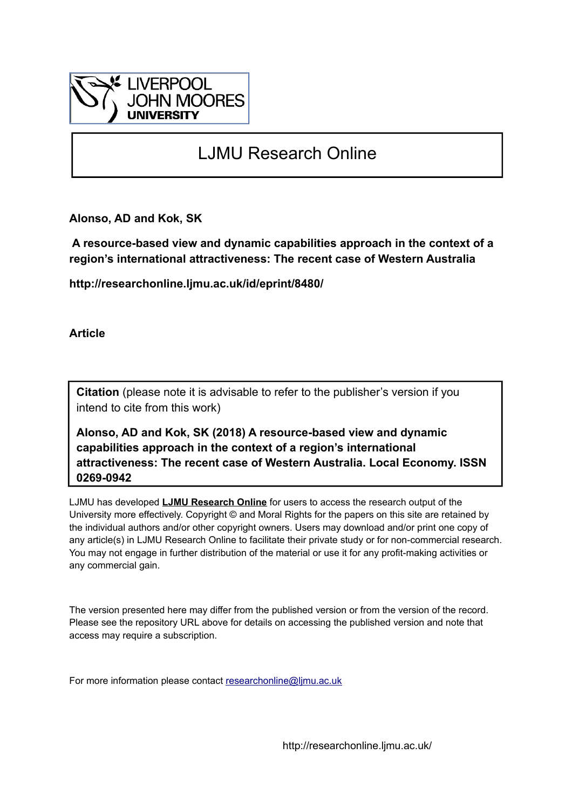

# LJMU Research Online

**Alonso, AD and Kok, SK**

 **A resource-based view and dynamic capabilities approach in the context of a region's international attractiveness: The recent case of Western Australia**

**http://researchonline.ljmu.ac.uk/id/eprint/8480/**

**Article**

**Citation** (please note it is advisable to refer to the publisher's version if you intend to cite from this work)

**Alonso, AD and Kok, SK (2018) A resource-based view and dynamic capabilities approach in the context of a region's international attractiveness: The recent case of Western Australia. Local Economy. ISSN 0269-0942** 

LJMU has developed **[LJMU Research Online](http://researchonline.ljmu.ac.uk/)** for users to access the research output of the University more effectively. Copyright © and Moral Rights for the papers on this site are retained by the individual authors and/or other copyright owners. Users may download and/or print one copy of any article(s) in LJMU Research Online to facilitate their private study or for non-commercial research. You may not engage in further distribution of the material or use it for any profit-making activities or any commercial gain.

The version presented here may differ from the published version or from the version of the record. Please see the repository URL above for details on accessing the published version and note that access may require a subscription.

For more information please contact [researchonline@ljmu.ac.uk](mailto:researchonline@ljmu.ac.uk)

http://researchonline.ljmu.ac.uk/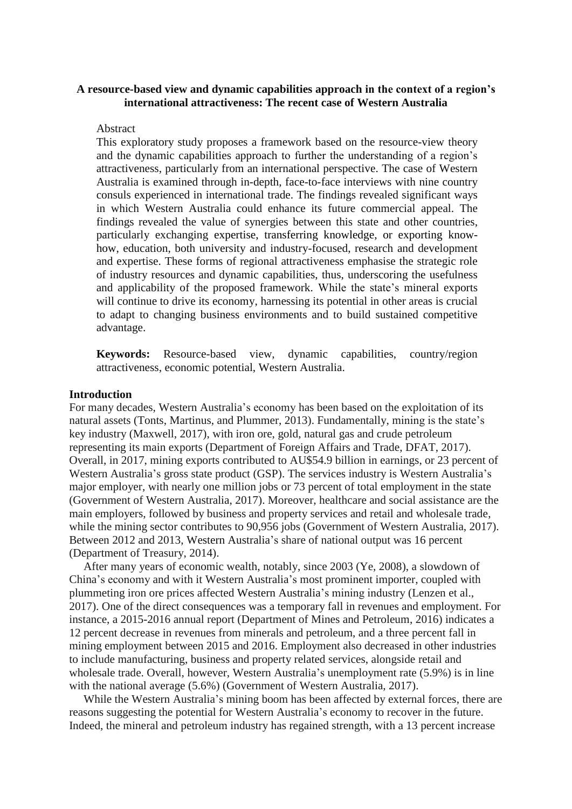# **A resource-based view and dynamic capabilities approach in the context of a region's international attractiveness: The recent case of Western Australia**

#### Abstract

This exploratory study proposes a framework based on the resource-view theory and the dynamic capabilities approach to further the understanding of a region's attractiveness, particularly from an international perspective. The case of Western Australia is examined through in-depth, face-to-face interviews with nine country consuls experienced in international trade. The findings revealed significant ways in which Western Australia could enhance its future commercial appeal. The findings revealed the value of synergies between this state and other countries, particularly exchanging expertise, transferring knowledge, or exporting knowhow, education, both university and industry-focused, research and development and expertise. These forms of regional attractiveness emphasise the strategic role of industry resources and dynamic capabilities, thus, underscoring the usefulness and applicability of the proposed framework. While the state's mineral exports will continue to drive its economy, harnessing its potential in other areas is crucial to adapt to changing business environments and to build sustained competitive advantage.

**Keywords:** Resource-based view, dynamic capabilities, country/region attractiveness, economic potential, Western Australia.

## **Introduction**

For many decades, Western Australia's economy has been based on the exploitation of its natural assets (Tonts, Martinus, and Plummer, 2013). Fundamentally, mining is the state's key industry (Maxwell, 2017), with iron ore, gold, natural gas and crude petroleum representing its main exports (Department of Foreign Affairs and Trade, DFAT, 2017). Overall, in 2017, mining exports contributed to AU\$54.9 billion in earnings, or 23 percent of Western Australia's gross state product (GSP). The services industry is Western Australia's major employer, with nearly one million jobs or 73 percent of total employment in the state (Government of Western Australia, 2017). Moreover, healthcare and social assistance are the main employers, followed by business and property services and retail and wholesale trade, while the mining sector contributes to 90,956 jobs (Government of Western Australia, 2017). Between 2012 and 2013, Western Australia's share of national output was 16 percent (Department of Treasury, 2014).

 After many years of economic wealth, notably, since 2003 (Ye, 2008), a slowdown of China's economy and with it Western Australia's most prominent importer, coupled with plummeting iron ore prices affected Western Australia's mining industry (Lenzen et al., 2017). One of the direct consequences was a temporary fall in revenues and employment. For instance, a 2015-2016 annual report (Department of Mines and Petroleum, 2016) indicates a 12 percent decrease in revenues from minerals and petroleum, and a three percent fall in mining employment between 2015 and 2016. Employment also decreased in other industries to include manufacturing, business and property related services, alongside retail and wholesale trade. Overall, however, Western Australia's unemployment rate (5.9%) is in line with the national average (5.6%) (Government of Western Australia, 2017).

 While the Western Australia's mining boom has been affected by external forces, there are reasons suggesting the potential for Western Australia's economy to recover in the future. Indeed, the mineral and petroleum industry has regained strength, with a 13 percent increase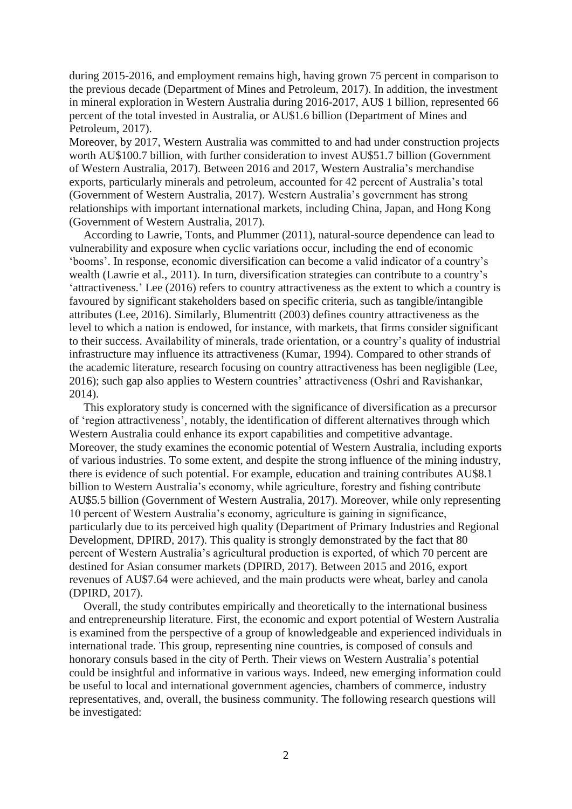during 2015-2016, and employment remains high, having grown 75 percent in comparison to the previous decade (Department of Mines and Petroleum, 2017). In addition, the investment in mineral exploration in Western Australia during 2016-2017, AU\$ 1 billion, represented 66 percent of the total invested in Australia, or AU\$1.6 billion (Department of Mines and Petroleum, 2017).

Moreover, by 2017, Western Australia was committed to and had under construction projects worth AU\$100.7 billion, with further consideration to invest AU\$51.7 billion (Government of Western Australia, 2017). Between 2016 and 2017, Western Australia's merchandise exports, particularly minerals and petroleum, accounted for 42 percent of Australia's total (Government of Western Australia, 2017). Western Australia's government has strong relationships with important international markets, including China, Japan, and Hong Kong (Government of Western Australia, 2017).

 According to Lawrie, Tonts, and Plummer (2011), natural-source dependence can lead to vulnerability and exposure when cyclic variations occur, including the end of economic 'booms'. In response, economic diversification can become a valid indicator of a country's wealth (Lawrie et al., 2011). In turn, diversification strategies can contribute to a country's 'attractiveness.' Lee (2016) refers to country attractiveness as the extent to which a country is favoured by significant stakeholders based on specific criteria, such as tangible/intangible attributes (Lee, 2016). Similarly, Blumentritt (2003) defines country attractiveness as the level to which a nation is endowed, for instance, with markets, that firms consider significant to their success. Availability of minerals, trade orientation, or a country's quality of industrial infrastructure may influence its attractiveness (Kumar, 1994). Compared to other strands of the academic literature, research focusing on country attractiveness has been negligible (Lee, 2016); such gap also applies to Western countries' attractiveness (Oshri and Ravishankar, 2014).

 This exploratory study is concerned with the significance of diversification as a precursor of 'region attractiveness', notably, the identification of different alternatives through which Western Australia could enhance its export capabilities and competitive advantage. Moreover, the study examines the economic potential of Western Australia, including exports of various industries. To some extent, and despite the strong influence of the mining industry, there is evidence of such potential. For example, education and training contributes AU\$8.1 billion to Western Australia's economy, while agriculture, forestry and fishing contribute AU\$5.5 billion (Government of Western Australia, 2017). Moreover, while only representing 10 percent of Western Australia's economy, agriculture is gaining in significance, particularly due to its perceived high quality (Department of Primary Industries and Regional Development, DPIRD, 2017). This quality is strongly demonstrated by the fact that 80 percent of Western Australia's agricultural production is exported, of which 70 percent are destined for Asian consumer markets (DPIRD, 2017). Between 2015 and 2016, export revenues of AU\$7.64 were achieved, and the main products were wheat, barley and canola (DPIRD, 2017).

 Overall, the study contributes empirically and theoretically to the international business and entrepreneurship literature. First, the economic and export potential of Western Australia is examined from the perspective of a group of knowledgeable and experienced individuals in international trade. This group, representing nine countries, is composed of consuls and honorary consuls based in the city of Perth. Their views on Western Australia's potential could be insightful and informative in various ways. Indeed, new emerging information could be useful to local and international government agencies, chambers of commerce, industry representatives, and, overall, the business community. The following research questions will be investigated: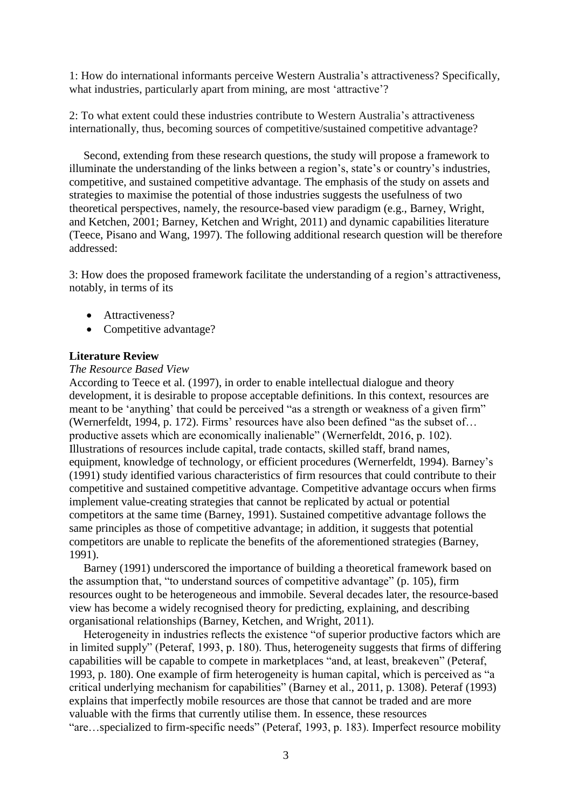1: How do international informants perceive Western Australia's attractiveness? Specifically, what industries, particularly apart from mining, are most 'attractive'?

2: To what extent could these industries contribute to Western Australia's attractiveness internationally, thus, becoming sources of competitive/sustained competitive advantage?

 Second, extending from these research questions, the study will propose a framework to illuminate the understanding of the links between a region's, state's or country's industries, competitive, and sustained competitive advantage. The emphasis of the study on assets and strategies to maximise the potential of those industries suggests the usefulness of two theoretical perspectives, namely, the resource-based view paradigm (e.g., Barney, Wright, and Ketchen, 2001; Barney, Ketchen and Wright, 2011) and dynamic capabilities literature (Teece, Pisano and Wang, 1997). The following additional research question will be therefore addressed:

3: How does the proposed framework facilitate the understanding of a region's attractiveness, notably, in terms of its

- Attractiveness?
- Competitive advantage?

## **Literature Review**

#### *The Resource Based View*

According to Teece et al. (1997), in order to enable intellectual dialogue and theory development, it is desirable to propose acceptable definitions. In this context, resources are meant to be 'anything' that could be perceived "as a strength or weakness of a given firm" (Wernerfeldt, 1994, p. 172). Firms' resources have also been defined "as the subset of… productive assets which are economically inalienable" (Wernerfeldt, 2016, p. 102). Illustrations of resources include capital, trade contacts, skilled staff, brand names, equipment, knowledge of technology, or efficient procedures (Wernerfeldt, 1994). Barney's (1991) study identified various characteristics of firm resources that could contribute to their competitive and sustained competitive advantage. Competitive advantage occurs when firms implement value-creating strategies that cannot be replicated by actual or potential competitors at the same time (Barney, 1991). Sustained competitive advantage follows the same principles as those of competitive advantage; in addition, it suggests that potential competitors are unable to replicate the benefits of the aforementioned strategies (Barney, 1991).

 Barney (1991) underscored the importance of building a theoretical framework based on the assumption that, "to understand sources of competitive advantage" (p. 105), firm resources ought to be heterogeneous and immobile. Several decades later, the resource-based view has become a widely recognised theory for predicting, explaining, and describing organisational relationships (Barney, Ketchen, and Wright, 2011).

 Heterogeneity in industries reflects the existence "of superior productive factors which are in limited supply" (Peteraf, 1993, p. 180). Thus, heterogeneity suggests that firms of differing capabilities will be capable to compete in marketplaces "and, at least, breakeven" (Peteraf, 1993, p. 180). One example of firm heterogeneity is human capital, which is perceived as "a critical underlying mechanism for capabilities" (Barney et al., 2011, p. 1308). Peteraf (1993) explains that imperfectly mobile resources are those that cannot be traded and are more valuable with the firms that currently utilise them. In essence, these resources "are…specialized to firm-specific needs" (Peteraf, 1993, p. 183). Imperfect resource mobility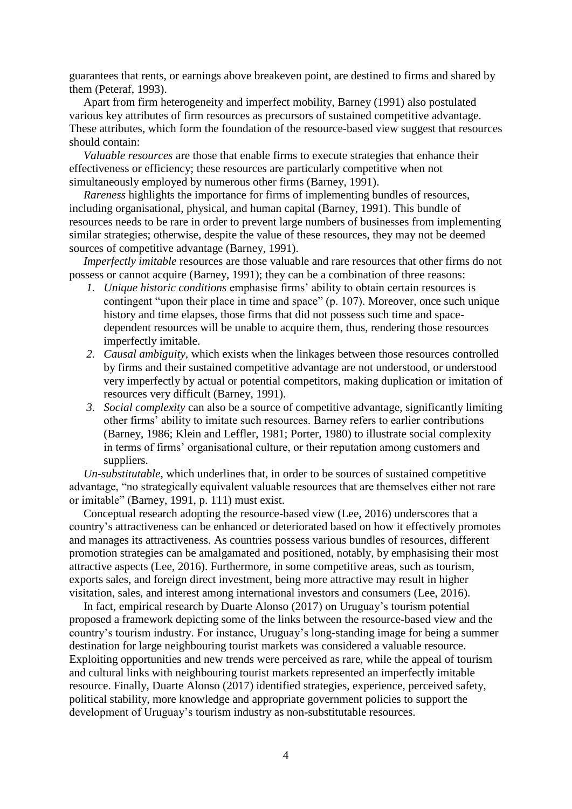guarantees that rents, or earnings above breakeven point, are destined to firms and shared by them (Peteraf, 1993).

 Apart from firm heterogeneity and imperfect mobility, Barney (1991) also postulated various key attributes of firm resources as precursors of sustained competitive advantage. These attributes, which form the foundation of the resource-based view suggest that resources should contain:

 *Valuable resources* are those that enable firms to execute strategies that enhance their effectiveness or efficiency; these resources are particularly competitive when not simultaneously employed by numerous other firms (Barney, 1991).

 *Rareness* highlights the importance for firms of implementing bundles of resources, including organisational, physical, and human capital (Barney, 1991). This bundle of resources needs to be rare in order to prevent large numbers of businesses from implementing similar strategies; otherwise, despite the value of these resources, they may not be deemed sources of competitive advantage (Barney, 1991).

 *Imperfectly imitable* resources are those valuable and rare resources that other firms do not possess or cannot acquire (Barney, 1991); they can be a combination of three reasons:

- *1. Unique historic conditions* emphasise firms' ability to obtain certain resources is contingent "upon their place in time and space" (p. 107). Moreover, once such unique history and time elapses, those firms that did not possess such time and spacedependent resources will be unable to acquire them, thus, rendering those resources imperfectly imitable.
- *2. Causal ambiguity,* which exists when the linkages between those resources controlled by firms and their sustained competitive advantage are not understood, or understood very imperfectly by actual or potential competitors, making duplication or imitation of resources very difficult (Barney, 1991).
- *3. Social complexity* can also be a source of competitive advantage, significantly limiting other firms' ability to imitate such resources. Barney refers to earlier contributions (Barney, 1986; Klein and Leffler, 1981; Porter, 1980) to illustrate social complexity in terms of firms' organisational culture, or their reputation among customers and suppliers.

 *Un-substitutable*, which underlines that, in order to be sources of sustained competitive advantage, "no strategically equivalent valuable resources that are themselves either not rare or imitable" (Barney, 1991, p. 111) must exist.

 Conceptual research adopting the resource-based view (Lee, 2016) underscores that a country's attractiveness can be enhanced or deteriorated based on how it effectively promotes and manages its attractiveness. As countries possess various bundles of resources, different promotion strategies can be amalgamated and positioned, notably, by emphasising their most attractive aspects (Lee, 2016). Furthermore, in some competitive areas, such as tourism, exports sales, and foreign direct investment, being more attractive may result in higher visitation, sales, and interest among international investors and consumers (Lee, 2016).

 In fact, empirical research by Duarte Alonso (2017) on Uruguay's tourism potential proposed a framework depicting some of the links between the resource-based view and the country's tourism industry. For instance, Uruguay's long-standing image for being a summer destination for large neighbouring tourist markets was considered a valuable resource. Exploiting opportunities and new trends were perceived as rare, while the appeal of tourism and cultural links with neighbouring tourist markets represented an imperfectly imitable resource. Finally, Duarte Alonso (2017) identified strategies, experience, perceived safety, political stability, more knowledge and appropriate government policies to support the development of Uruguay's tourism industry as non-substitutable resources.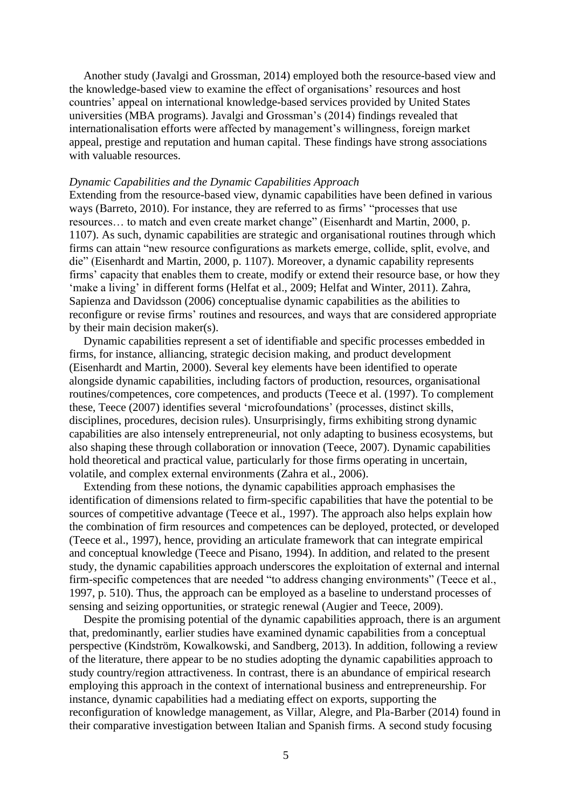Another study (Javalgi and Grossman, 2014) employed both the resource-based view and the knowledge-based view to examine the effect of organisations' resources and host countries' appeal on international knowledge-based services provided by United States universities (MBA programs). Javalgi and Grossman's (2014) findings revealed that internationalisation efforts were affected by management's willingness, foreign market appeal, prestige and reputation and human capital. These findings have strong associations with valuable resources.

#### *Dynamic Capabilities and the Dynamic Capabilities Approach*

Extending from the resource-based view, dynamic capabilities have been defined in various ways (Barreto, 2010). For instance, they are referred to as firms' "processes that use resources… to match and even create market change" (Eisenhardt and Martin, 2000, p. 1107). As such, dynamic capabilities are strategic and organisational routines through which firms can attain "new resource configurations as markets emerge, collide, split, evolve, and die" (Eisenhardt and Martin, 2000, p. 1107). Moreover, a dynamic capability represents firms' capacity that enables them to create, modify or extend their resource base, or how they 'make a living' in different forms (Helfat et al., 2009; Helfat and Winter, 2011). Zahra, Sapienza and Davidsson (2006) conceptualise dynamic capabilities as the abilities to reconfigure or revise firms' routines and resources, and ways that are considered appropriate by their main decision maker(s).

 Dynamic capabilities represent a set of identifiable and specific processes embedded in firms, for instance, alliancing, strategic decision making, and product development (Eisenhardt and Martin, 2000). Several key elements have been identified to operate alongside dynamic capabilities, including factors of production, resources, organisational routines/competences, core competences, and products (Teece et al. (1997). To complement these, Teece (2007) identifies several 'microfoundations' (processes, distinct skills, disciplines, procedures, decision rules). Unsurprisingly, firms exhibiting strong dynamic capabilities are also intensely entrepreneurial, not only adapting to business ecosystems, but also shaping these through collaboration or innovation (Teece, 2007). Dynamic capabilities hold theoretical and practical value, particularly for those firms operating in uncertain, volatile, and complex external environments (Zahra et al., 2006).

 Extending from these notions, the dynamic capabilities approach emphasises the identification of dimensions related to firm-specific capabilities that have the potential to be sources of competitive advantage (Teece et al., 1997). The approach also helps explain how the combination of firm resources and competences can be deployed, protected, or developed (Teece et al., 1997), hence, providing an articulate framework that can integrate empirical and conceptual knowledge (Teece and Pisano, 1994). In addition, and related to the present study, the dynamic capabilities approach underscores the exploitation of external and internal firm-specific competences that are needed "to address changing environments" (Teece et al., 1997, p. 510). Thus, the approach can be employed as a baseline to understand processes of sensing and seizing opportunities, or strategic renewal (Augier and Teece, 2009).

 Despite the promising potential of the dynamic capabilities approach, there is an argument that, predominantly, earlier studies have examined dynamic capabilities from a conceptual perspective (Kindström, Kowalkowski, and Sandberg, 2013). In addition, following a review of the literature, there appear to be no studies adopting the dynamic capabilities approach to study country/region attractiveness. In contrast, there is an abundance of empirical research employing this approach in the context of international business and entrepreneurship. For instance, dynamic capabilities had a mediating effect on exports, supporting the reconfiguration of knowledge management, as Villar, Alegre, and Pla-Barber (2014) found in their comparative investigation between Italian and Spanish firms. A second study focusing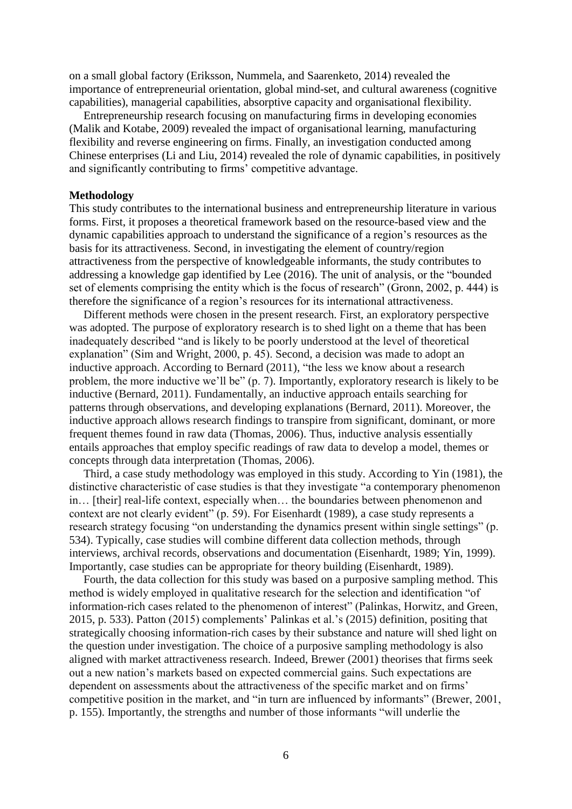on a small global factory (Eriksson, Nummela, and Saarenketo, 2014) revealed the importance of entrepreneurial orientation, global mind-set, and cultural awareness (cognitive capabilities), managerial capabilities, absorptive capacity and organisational flexibility.

 Entrepreneurship research focusing on manufacturing firms in developing economies (Malik and Kotabe, 2009) revealed the impact of organisational learning, manufacturing flexibility and reverse engineering on firms. Finally, an investigation conducted among Chinese enterprises (Li and Liu, 2014) revealed the role of dynamic capabilities, in positively and significantly contributing to firms' competitive advantage.

#### **Methodology**

This study contributes to the international business and entrepreneurship literature in various forms. First, it proposes a theoretical framework based on the resource-based view and the dynamic capabilities approach to understand the significance of a region's resources as the basis for its attractiveness. Second, in investigating the element of country/region attractiveness from the perspective of knowledgeable informants, the study contributes to addressing a knowledge gap identified by Lee (2016). The unit of analysis, or the "bounded set of elements comprising the entity which is the focus of research" (Gronn, 2002, p. 444) is therefore the significance of a region's resources for its international attractiveness.

 Different methods were chosen in the present research. First, an exploratory perspective was adopted. The purpose of exploratory research is to shed light on a theme that has been inadequately described "and is likely to be poorly understood at the level of theoretical explanation" (Sim and Wright, 2000, p. 45). Second, a decision was made to adopt an inductive approach. According to Bernard (2011), "the less we know about a research problem, the more inductive we'll be" (p. 7). Importantly, exploratory research is likely to be inductive (Bernard, 2011). Fundamentally, an inductive approach entails searching for patterns through observations, and developing explanations (Bernard, 2011). Moreover, the inductive approach allows research findings to transpire from significant, dominant, or more frequent themes found in raw data (Thomas, 2006). Thus, inductive analysis essentially entails approaches that employ specific readings of raw data to develop a model, themes or concepts through data interpretation (Thomas, 2006).

 Third, a case study methodology was employed in this study. According to Yin (1981), the distinctive characteristic of case studies is that they investigate "a contemporary phenomenon in… [their] real-life context, especially when… the boundaries between phenomenon and context are not clearly evident" (p. 59). For Eisenhardt (1989), a case study represents a research strategy focusing "on understanding the dynamics present within single settings" (p. 534). Typically, case studies will combine different data collection methods, through interviews, archival records, observations and documentation (Eisenhardt, 1989; Yin, 1999). Importantly, case studies can be appropriate for theory building (Eisenhardt, 1989).

 Fourth, the data collection for this study was based on a purposive sampling method. This method is widely employed in qualitative research for the selection and identification "of information-rich cases related to the phenomenon of interest" (Palinkas, Horwitz, and Green, 2015, p. 533). Patton (2015) complements' Palinkas et al.'s (2015) definition, positing that strategically choosing information-rich cases by their substance and nature will shed light on the question under investigation. The choice of a purposive sampling methodology is also aligned with market attractiveness research. Indeed, Brewer (2001) theorises that firms seek out a new nation's markets based on expected commercial gains. Such expectations are dependent on assessments about the attractiveness of the specific market and on firms' competitive position in the market, and "in turn are influenced by informants" (Brewer, 2001, p. 155). Importantly, the strengths and number of those informants "will underlie the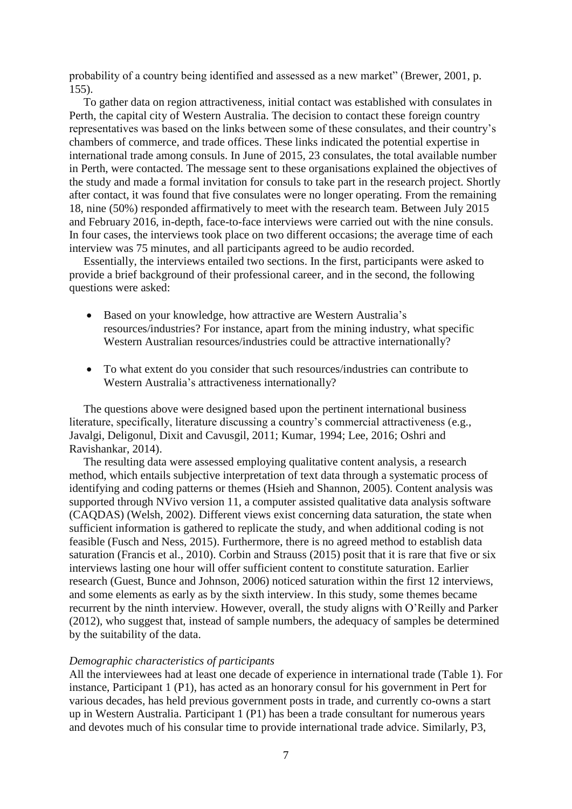probability of a country being identified and assessed as a new market" (Brewer, 2001, p. 155).

 To gather data on region attractiveness, initial contact was established with consulates in Perth, the capital city of Western Australia. The decision to contact these foreign country representatives was based on the links between some of these consulates, and their country's chambers of commerce, and trade offices. These links indicated the potential expertise in international trade among consuls. In June of 2015, 23 consulates, the total available number in Perth, were contacted. The message sent to these organisations explained the objectives of the study and made a formal invitation for consuls to take part in the research project. Shortly after contact, it was found that five consulates were no longer operating. From the remaining 18, nine (50%) responded affirmatively to meet with the research team. Between July 2015 and February 2016, in-depth, face-to-face interviews were carried out with the nine consuls. In four cases, the interviews took place on two different occasions; the average time of each interview was 75 minutes, and all participants agreed to be audio recorded.

 Essentially, the interviews entailed two sections. In the first, participants were asked to provide a brief background of their professional career, and in the second, the following questions were asked:

- Based on your knowledge, how attractive are Western Australia's resources/industries? For instance, apart from the mining industry, what specific Western Australian resources/industries could be attractive internationally?
- To what extent do you consider that such resources/industries can contribute to Western Australia's attractiveness internationally?

 The questions above were designed based upon the pertinent international business literature, specifically, literature discussing a country's commercial attractiveness (e.g., Javalgi, Deligonul, Dixit and Cavusgil, 2011; Kumar, 1994; Lee, 2016; Oshri and Ravishankar, 2014).

 The resulting data were assessed employing qualitative content analysis, a research method, which entails subjective interpretation of text data through a systematic process of identifying and coding patterns or themes (Hsieh and Shannon, 2005). Content analysis was supported through NVivo version 11, a computer assisted qualitative data analysis software (CAQDAS) (Welsh, 2002). Different views exist concerning data saturation, the state when sufficient information is gathered to replicate the study, and when additional coding is not feasible (Fusch and Ness, 2015). Furthermore, there is no agreed method to establish data saturation (Francis et al., 2010). Corbin and Strauss (2015) posit that it is rare that five or six interviews lasting one hour will offer sufficient content to constitute saturation. Earlier research (Guest, Bunce and Johnson, 2006) noticed saturation within the first 12 interviews, and some elements as early as by the sixth interview. In this study, some themes became recurrent by the ninth interview. However, overall, the study aligns with O'Reilly and Parker (2012), who suggest that, instead of sample numbers, the adequacy of samples be determined by the suitability of the data.

## *Demographic characteristics of participants*

All the interviewees had at least one decade of experience in international trade (Table 1). For instance, Participant 1 (P1), has acted as an honorary consul for his government in Pert for various decades, has held previous government posts in trade, and currently co-owns a start up in Western Australia. Participant 1 (P1) has been a trade consultant for numerous years and devotes much of his consular time to provide international trade advice. Similarly, P3,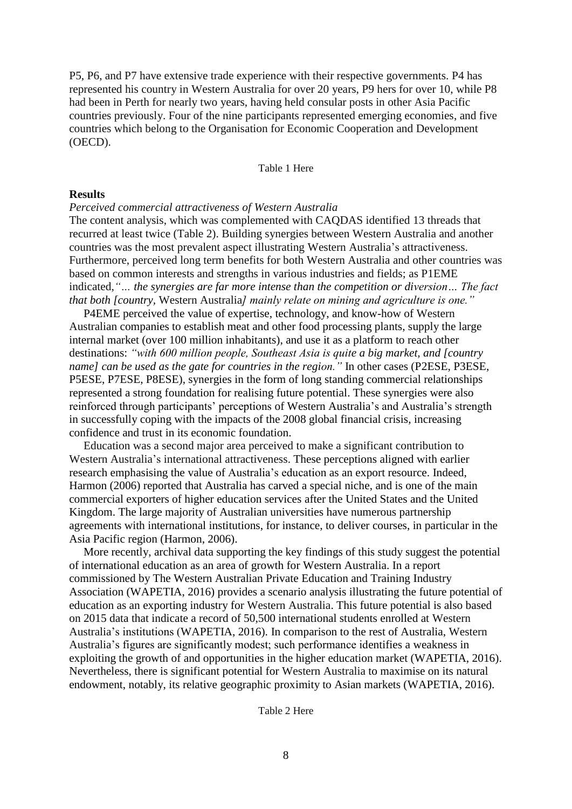P5, P6, and P7 have extensive trade experience with their respective governments. P4 has represented his country in Western Australia for over 20 years, P9 hers for over 10, while P8 had been in Perth for nearly two years, having held consular posts in other Asia Pacific countries previously. Four of the nine participants represented emerging economies, and five countries which belong to the Organisation for Economic Cooperation and Development (OECD).

## Table 1 Here

#### **Results**

*Perceived commercial attractiveness of Western Australia*

The content analysis, which was complemented with CAQDAS identified 13 threads that recurred at least twice (Table 2). Building synergies between Western Australia and another countries was the most prevalent aspect illustrating Western Australia's attractiveness. Furthermore, perceived long term benefits for both Western Australia and other countries was based on common interests and strengths in various industries and fields; as P1EME indicated,*"… the synergies are far more intense than the competition or diversion… The fact that both [country,* Western Australia*] mainly relate on mining and agriculture is one."*

 P4EME perceived the value of expertise, technology, and know-how of Western Australian companies to establish meat and other food processing plants, supply the large internal market (over 100 million inhabitants), and use it as a platform to reach other destinations: *"with 600 million people, Southeast Asia is quite a big market, and [country name] can be used as the gate for countries in the region.*" In other cases (P2ESE, P3ESE, P5ESE, P7ESE, P8ESE), synergies in the form of long standing commercial relationships represented a strong foundation for realising future potential. These synergies were also reinforced through participants' perceptions of Western Australia's and Australia's strength in successfully coping with the impacts of the 2008 global financial crisis, increasing confidence and trust in its economic foundation.

 Education was a second major area perceived to make a significant contribution to Western Australia's international attractiveness. These perceptions aligned with earlier research emphasising the value of Australia's education as an export resource. Indeed, Harmon (2006) reported that Australia has carved a special niche, and is one of the main commercial exporters of higher education services after the United States and the United Kingdom. The large majority of Australian universities have numerous partnership agreements with international institutions, for instance, to deliver courses, in particular in the Asia Pacific region (Harmon, 2006).

 More recently, archival data supporting the key findings of this study suggest the potential of international education as an area of growth for Western Australia. In a report commissioned by The Western Australian Private Education and Training Industry Association (WAPETIA, 2016) provides a scenario analysis illustrating the future potential of education as an exporting industry for Western Australia. This future potential is also based on 2015 data that indicate a record of 50,500 international students enrolled at Western Australia's institutions (WAPETIA, 2016). In comparison to the rest of Australia, Western Australia's figures are significantly modest; such performance identifies a weakness in exploiting the growth of and opportunities in the higher education market (WAPETIA, 2016). Nevertheless, there is significant potential for Western Australia to maximise on its natural endowment, notably, its relative geographic proximity to Asian markets (WAPETIA, 2016).

# Table 2 Here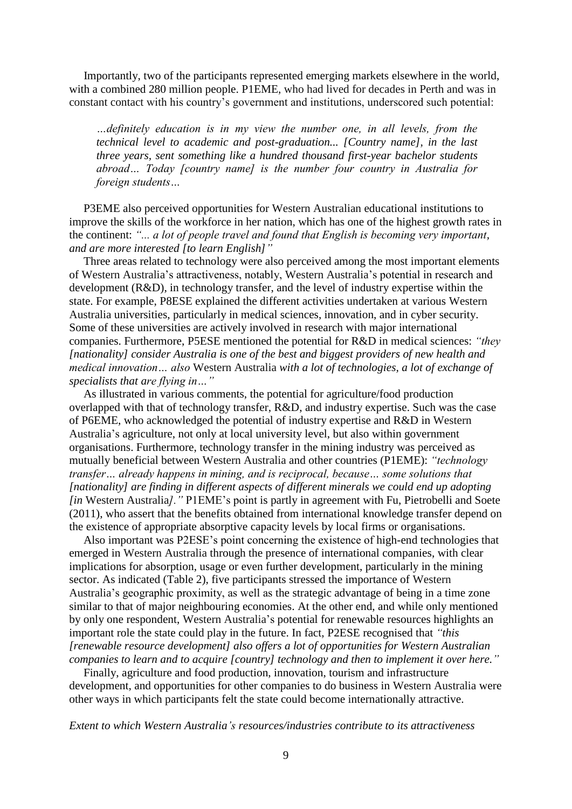Importantly, two of the participants represented emerging markets elsewhere in the world, with a combined 280 million people. P1EME, who had lived for decades in Perth and was in constant contact with his country's government and institutions, underscored such potential:

*…definitely education is in my view the number one, in all levels, from the technical level to academic and post-graduation... [Country name], in the last three years, sent something like a hundred thousand first-year bachelor students abroad… Today [country name] is the number four country in Australia for foreign students…* 

 P3EME also perceived opportunities for Western Australian educational institutions to improve the skills of the workforce in her nation, which has one of the highest growth rates in the continent: *"... a lot of people travel and found that English is becoming very important, and are more interested [to learn English]"* 

 Three areas related to technology were also perceived among the most important elements of Western Australia's attractiveness, notably, Western Australia's potential in research and development (R&D), in technology transfer, and the level of industry expertise within the state. For example, P8ESE explained the different activities undertaken at various Western Australia universities, particularly in medical sciences, innovation, and in cyber security. Some of these universities are actively involved in research with major international companies. Furthermore, P5ESE mentioned the potential for R&D in medical sciences: *"they [nationality] consider Australia is one of the best and biggest providers of new health and medical innovation… also* Western Australia *with a lot of technologies, a lot of exchange of specialists that are flying in…"* 

 As illustrated in various comments, the potential for agriculture/food production overlapped with that of technology transfer, R&D, and industry expertise. Such was the case of P6EME, who acknowledged the potential of industry expertise and R&D in Western Australia's agriculture, not only at local university level, but also within government organisations. Furthermore, technology transfer in the mining industry was perceived as mutually beneficial between Western Australia and other countries (P1EME): *"technology transfer… already happens in mining, and is reciprocal, because… some solutions that [nationality] are finding in different aspects of different minerals we could end up adopting [in* Western Australia*]."* P1EME's point is partly in agreement with Fu, Pietrobelli and Soete (2011), who assert that the benefits obtained from international knowledge transfer depend on the existence of appropriate absorptive capacity levels by local firms or organisations.

 Also important was P2ESE's point concerning the existence of high-end technologies that emerged in Western Australia through the presence of international companies, with clear implications for absorption, usage or even further development, particularly in the mining sector. As indicated (Table 2), five participants stressed the importance of Western Australia's geographic proximity, as well as the strategic advantage of being in a time zone similar to that of major neighbouring economies. At the other end, and while only mentioned by only one respondent, Western Australia's potential for renewable resources highlights an important role the state could play in the future. In fact, P2ESE recognised that *"this [renewable resource development] also offers a lot of opportunities for Western Australian companies to learn and to acquire [country] technology and then to implement it over here."*

 Finally, agriculture and food production, innovation, tourism and infrastructure development, and opportunities for other companies to do business in Western Australia were other ways in which participants felt the state could become internationally attractive.

*Extent to which Western Australia's resources/industries contribute to its attractiveness*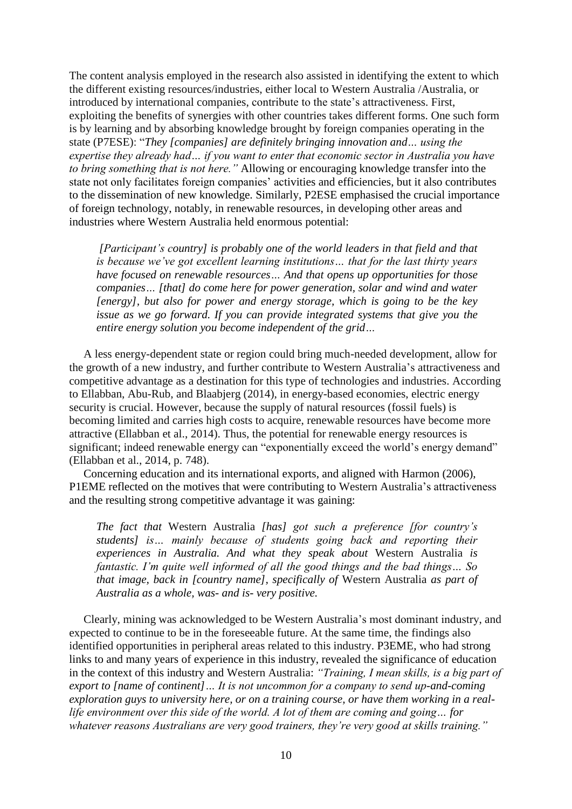The content analysis employed in the research also assisted in identifying the extent to which the different existing resources/industries, either local to Western Australia /Australia, or introduced by international companies, contribute to the state's attractiveness. First, exploiting the benefits of synergies with other countries takes different forms. One such form is by learning and by absorbing knowledge brought by foreign companies operating in the state (P7ESE): "*They [companies] are definitely bringing innovation and… using the expertise they already had… if you want to enter that economic sector in Australia you have to bring something that is not here."* Allowing or encouraging knowledge transfer into the state not only facilitates foreign companies' activities and efficiencies, but it also contributes to the dissemination of new knowledge. Similarly, P2ESE emphasised the crucial importance of foreign technology, notably, in renewable resources, in developing other areas and industries where Western Australia held enormous potential:

*[Participant's country] is probably one of the world leaders in that field and that is because we've got excellent learning institutions… that for the last thirty years have focused on renewable resources… And that opens up opportunities for those companies… [that] do come here for power generation, solar and wind and water [energy], but also for power and energy storage, which is going to be the key issue as we go forward. If you can provide integrated systems that give you the entire energy solution you become independent of the grid…*

 A less energy-dependent state or region could bring much-needed development, allow for the growth of a new industry, and further contribute to Western Australia's attractiveness and competitive advantage as a destination for this type of technologies and industries. According to Ellabban, Abu-Rub, and Blaabjerg (2014), in energy-based economies, electric energy security is crucial. However, because the supply of natural resources (fossil fuels) is becoming limited and carries high costs to acquire, renewable resources have become more attractive (Ellabban et al., 2014). Thus, the potential for renewable energy resources is significant; indeed renewable energy can "exponentially exceed the world's energy demand" (Ellabban et al., 2014, p. 748).

 Concerning education and its international exports, and aligned with Harmon (2006), P1EME reflected on the motives that were contributing to Western Australia's attractiveness and the resulting strong competitive advantage it was gaining:

*The fact that* Western Australia *[has] got such a preference [for country's students] is… mainly because of students going back and reporting their experiences in Australia. And what they speak about* Western Australia *is fantastic. I'm quite well informed of all the good things and the bad things… So that image, back in [country name], specifically of* Western Australia *as part of Australia as a whole, was- and is- very positive.*

 Clearly, mining was acknowledged to be Western Australia's most dominant industry, and expected to continue to be in the foreseeable future. At the same time, the findings also identified opportunities in peripheral areas related to this industry. P3EME, who had strong links to and many years of experience in this industry, revealed the significance of education in the context of this industry and Western Australia: *"Training, I mean skills, is a big part of export to [name of continent]… It is not uncommon for a company to send up-and-coming exploration guys to university here, or on a training course, or have them working in a reallife environment over this side of the world. A lot of them are coming and going… for whatever reasons Australians are very good trainers, they're very good at skills training."*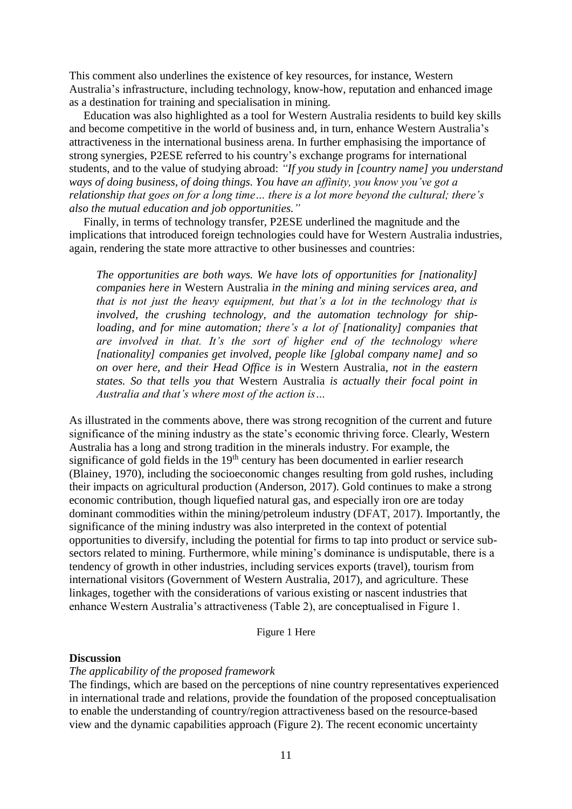This comment also underlines the existence of key resources, for instance, Western Australia's infrastructure, including technology, know-how, reputation and enhanced image as a destination for training and specialisation in mining.

 Education was also highlighted as a tool for Western Australia residents to build key skills and become competitive in the world of business and, in turn, enhance Western Australia's attractiveness in the international business arena. In further emphasising the importance of strong synergies, P2ESE referred to his country's exchange programs for international students, and to the value of studying abroad: *"If you study in [country name] you understand ways of doing business, of doing things. You have an affinity, you know you've got a relationship that goes on for a long time… there is a lot more beyond the cultural; there's also the mutual education and job opportunities."*

 Finally, in terms of technology transfer, P2ESE underlined the magnitude and the implications that introduced foreign technologies could have for Western Australia industries, again, rendering the state more attractive to other businesses and countries:

*The opportunities are both ways. We have lots of opportunities for [nationality] companies here in* Western Australia *in the mining and mining services area, and that is not just the heavy equipment, but that's a lot in the technology that is involved, the crushing technology, and the automation technology for shiploading, and for mine automation; there's a lot of [nationality] companies that are involved in that. It's the sort of higher end of the technology where [nationality] companies get involved, people like [global company name] and so on over here, and their Head Office is in* Western Australia*, not in the eastern states. So that tells you that* Western Australia *is actually their focal point in Australia and that's where most of the action is…*

As illustrated in the comments above, there was strong recognition of the current and future significance of the mining industry as the state's economic thriving force. Clearly, Western Australia has a long and strong tradition in the minerals industry. For example, the significance of gold fields in the  $19<sup>th</sup>$  century has been documented in earlier research (Blainey, 1970), including the socioeconomic changes resulting from gold rushes, including their impacts on agricultural production (Anderson, 2017). Gold continues to make a strong economic contribution, though liquefied natural gas, and especially iron ore are today dominant commodities within the mining/petroleum industry (DFAT, 2017). Importantly, the significance of the mining industry was also interpreted in the context of potential opportunities to diversify, including the potential for firms to tap into product or service subsectors related to mining. Furthermore, while mining's dominance is undisputable, there is a tendency of growth in other industries, including services exports (travel), tourism from international visitors (Government of Western Australia, 2017), and agriculture. These linkages, together with the considerations of various existing or nascent industries that enhance Western Australia's attractiveness (Table 2), are conceptualised in Figure 1.

Figure 1 Here

#### **Discussion**

## *The applicability of the proposed framework*

The findings, which are based on the perceptions of nine country representatives experienced in international trade and relations, provide the foundation of the proposed conceptualisation to enable the understanding of country/region attractiveness based on the resource-based view and the dynamic capabilities approach (Figure 2). The recent economic uncertainty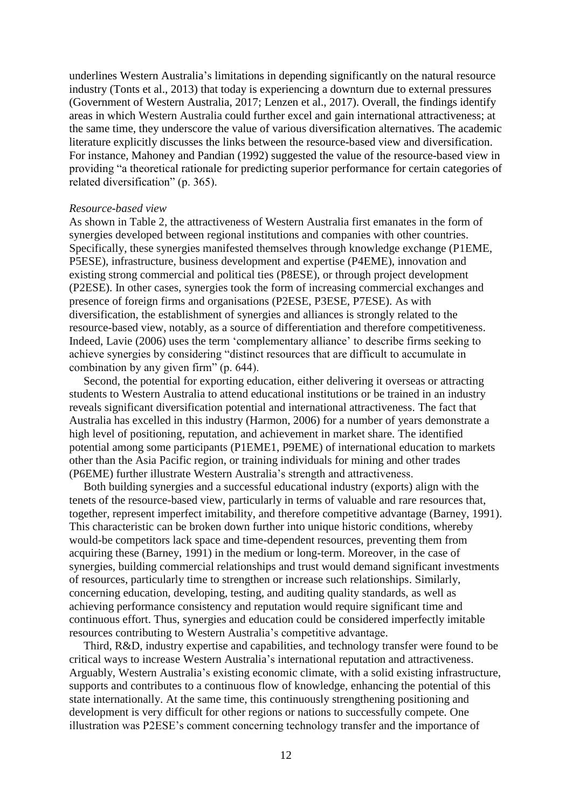underlines Western Australia's limitations in depending significantly on the natural resource industry (Tonts et al., 2013) that today is experiencing a downturn due to external pressures (Government of Western Australia, 2017; Lenzen et al., 2017). Overall, the findings identify areas in which Western Australia could further excel and gain international attractiveness; at the same time, they underscore the value of various diversification alternatives. The academic literature explicitly discusses the links between the resource-based view and diversification. For instance, Mahoney and Pandian (1992) suggested the value of the resource-based view in providing "a theoretical rationale for predicting superior performance for certain categories of related diversification" (p. 365).

## *Resource-based view*

As shown in Table 2, the attractiveness of Western Australia first emanates in the form of synergies developed between regional institutions and companies with other countries. Specifically, these synergies manifested themselves through knowledge exchange (P1EME, P5ESE), infrastructure, business development and expertise (P4EME), innovation and existing strong commercial and political ties (P8ESE), or through project development (P2ESE). In other cases, synergies took the form of increasing commercial exchanges and presence of foreign firms and organisations (P2ESE, P3ESE, P7ESE). As with diversification, the establishment of synergies and alliances is strongly related to the resource-based view, notably, as a source of differentiation and therefore competitiveness. Indeed, Lavie (2006) uses the term 'complementary alliance' to describe firms seeking to achieve synergies by considering "distinct resources that are difficult to accumulate in combination by any given firm" (p. 644).

 Second, the potential for exporting education, either delivering it overseas or attracting students to Western Australia to attend educational institutions or be trained in an industry reveals significant diversification potential and international attractiveness. The fact that Australia has excelled in this industry (Harmon, 2006) for a number of years demonstrate a high level of positioning, reputation, and achievement in market share. The identified potential among some participants (P1EME1, P9EME) of international education to markets other than the Asia Pacific region, or training individuals for mining and other trades (P6EME) further illustrate Western Australia's strength and attractiveness.

 Both building synergies and a successful educational industry (exports) align with the tenets of the resource-based view, particularly in terms of valuable and rare resources that, together, represent imperfect imitability, and therefore competitive advantage (Barney, 1991). This characteristic can be broken down further into unique historic conditions, whereby would-be competitors lack space and time-dependent resources, preventing them from acquiring these (Barney, 1991) in the medium or long-term. Moreover, in the case of synergies, building commercial relationships and trust would demand significant investments of resources, particularly time to strengthen or increase such relationships. Similarly, concerning education, developing, testing, and auditing quality standards, as well as achieving performance consistency and reputation would require significant time and continuous effort. Thus, synergies and education could be considered imperfectly imitable resources contributing to Western Australia's competitive advantage.

 Third, R&D, industry expertise and capabilities, and technology transfer were found to be critical ways to increase Western Australia's international reputation and attractiveness. Arguably, Western Australia's existing economic climate, with a solid existing infrastructure, supports and contributes to a continuous flow of knowledge, enhancing the potential of this state internationally. At the same time, this continuously strengthening positioning and development is very difficult for other regions or nations to successfully compete. One illustration was P2ESE's comment concerning technology transfer and the importance of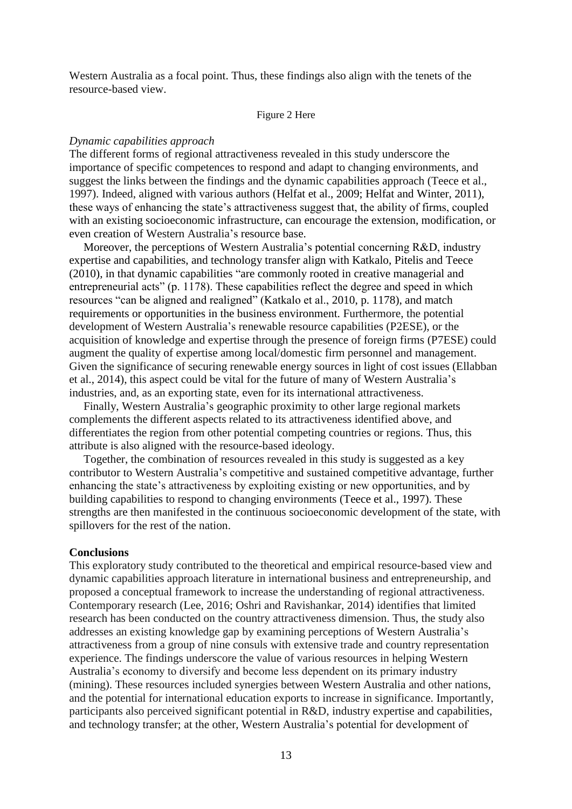Western Australia as a focal point. Thus, these findings also align with the tenets of the resource-based view.

Figure 2 Here

#### *Dynamic capabilities approach*

The different forms of regional attractiveness revealed in this study underscore the importance of specific competences to respond and adapt to changing environments, and suggest the links between the findings and the dynamic capabilities approach (Teece et al., 1997). Indeed, aligned with various authors (Helfat et al., 2009; Helfat and Winter, 2011), these ways of enhancing the state's attractiveness suggest that, the ability of firms, coupled with an existing socioeconomic infrastructure, can encourage the extension, modification, or even creation of Western Australia's resource base.

 Moreover, the perceptions of Western Australia's potential concerning R&D, industry expertise and capabilities, and technology transfer align with Katkalo, Pitelis and Teece (2010), in that dynamic capabilities "are commonly rooted in creative managerial and entrepreneurial acts" (p. 1178). These capabilities reflect the degree and speed in which resources "can be aligned and realigned" (Katkalo et al., 2010, p. 1178), and match requirements or opportunities in the business environment. Furthermore, the potential development of Western Australia's renewable resource capabilities (P2ESE), or the acquisition of knowledge and expertise through the presence of foreign firms (P7ESE) could augment the quality of expertise among local/domestic firm personnel and management. Given the significance of securing renewable energy sources in light of cost issues (Ellabban et al., 2014), this aspect could be vital for the future of many of Western Australia's industries, and, as an exporting state, even for its international attractiveness.

 Finally, Western Australia's geographic proximity to other large regional markets complements the different aspects related to its attractiveness identified above, and differentiates the region from other potential competing countries or regions. Thus, this attribute is also aligned with the resource-based ideology.

 Together, the combination of resources revealed in this study is suggested as a key contributor to Western Australia's competitive and sustained competitive advantage, further enhancing the state's attractiveness by exploiting existing or new opportunities, and by building capabilities to respond to changing environments (Teece et al., 1997). These strengths are then manifested in the continuous socioeconomic development of the state, with spillovers for the rest of the nation.

## **Conclusions**

This exploratory study contributed to the theoretical and empirical resource-based view and dynamic capabilities approach literature in international business and entrepreneurship, and proposed a conceptual framework to increase the understanding of regional attractiveness. Contemporary research (Lee, 2016; Oshri and Ravishankar, 2014) identifies that limited research has been conducted on the country attractiveness dimension. Thus, the study also addresses an existing knowledge gap by examining perceptions of Western Australia's attractiveness from a group of nine consuls with extensive trade and country representation experience. The findings underscore the value of various resources in helping Western Australia's economy to diversify and become less dependent on its primary industry (mining). These resources included synergies between Western Australia and other nations, and the potential for international education exports to increase in significance. Importantly, participants also perceived significant potential in R&D, industry expertise and capabilities, and technology transfer; at the other, Western Australia's potential for development of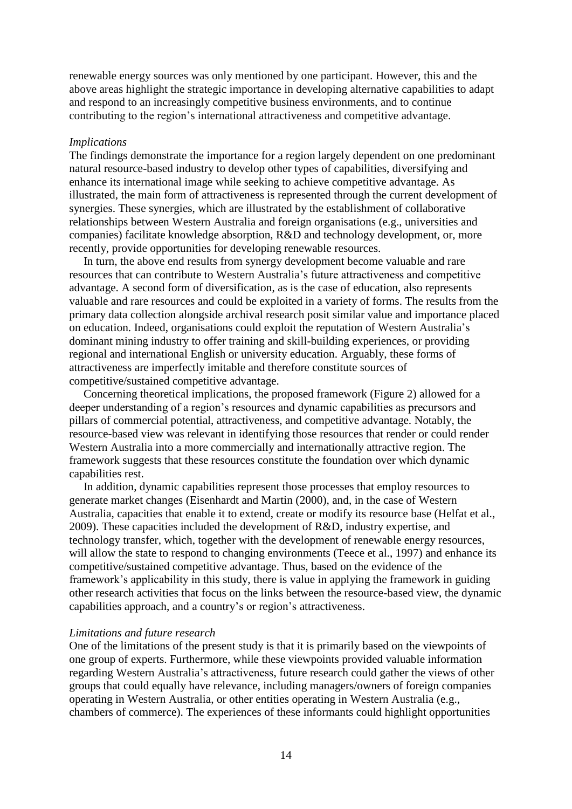renewable energy sources was only mentioned by one participant. However, this and the above areas highlight the strategic importance in developing alternative capabilities to adapt and respond to an increasingly competitive business environments, and to continue contributing to the region's international attractiveness and competitive advantage.

## *Implications*

The findings demonstrate the importance for a region largely dependent on one predominant natural resource-based industry to develop other types of capabilities, diversifying and enhance its international image while seeking to achieve competitive advantage. As illustrated, the main form of attractiveness is represented through the current development of synergies. These synergies, which are illustrated by the establishment of collaborative relationships between Western Australia and foreign organisations (e.g., universities and companies) facilitate knowledge absorption, R&D and technology development, or, more recently, provide opportunities for developing renewable resources.

 In turn, the above end results from synergy development become valuable and rare resources that can contribute to Western Australia's future attractiveness and competitive advantage. A second form of diversification, as is the case of education, also represents valuable and rare resources and could be exploited in a variety of forms. The results from the primary data collection alongside archival research posit similar value and importance placed on education. Indeed, organisations could exploit the reputation of Western Australia's dominant mining industry to offer training and skill-building experiences, or providing regional and international English or university education. Arguably, these forms of attractiveness are imperfectly imitable and therefore constitute sources of competitive/sustained competitive advantage.

 Concerning theoretical implications, the proposed framework (Figure 2) allowed for a deeper understanding of a region's resources and dynamic capabilities as precursors and pillars of commercial potential, attractiveness, and competitive advantage. Notably, the resource-based view was relevant in identifying those resources that render or could render Western Australia into a more commercially and internationally attractive region. The framework suggests that these resources constitute the foundation over which dynamic capabilities rest.

 In addition, dynamic capabilities represent those processes that employ resources to generate market changes (Eisenhardt and Martin (2000), and, in the case of Western Australia, capacities that enable it to extend, create or modify its resource base (Helfat et al., 2009). These capacities included the development of R&D, industry expertise, and technology transfer, which, together with the development of renewable energy resources, will allow the state to respond to changing environments (Teece et al., 1997) and enhance its competitive/sustained competitive advantage. Thus, based on the evidence of the framework's applicability in this study, there is value in applying the framework in guiding other research activities that focus on the links between the resource-based view, the dynamic capabilities approach, and a country's or region's attractiveness.

#### *Limitations and future research*

One of the limitations of the present study is that it is primarily based on the viewpoints of one group of experts. Furthermore, while these viewpoints provided valuable information regarding Western Australia's attractiveness, future research could gather the views of other groups that could equally have relevance, including managers/owners of foreign companies operating in Western Australia, or other entities operating in Western Australia (e.g., chambers of commerce). The experiences of these informants could highlight opportunities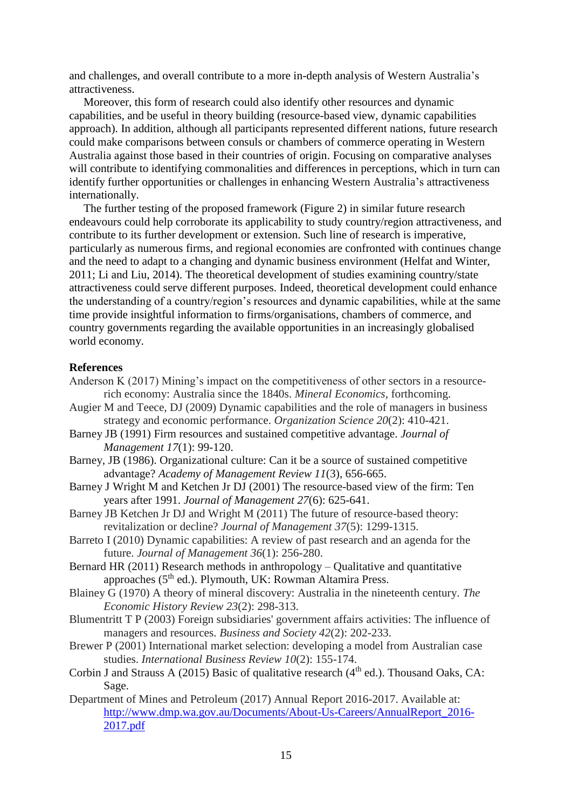and challenges, and overall contribute to a more in-depth analysis of Western Australia's attractiveness.

 Moreover, this form of research could also identify other resources and dynamic capabilities, and be useful in theory building (resource-based view, dynamic capabilities approach). In addition, although all participants represented different nations, future research could make comparisons between consuls or chambers of commerce operating in Western Australia against those based in their countries of origin. Focusing on comparative analyses will contribute to identifying commonalities and differences in perceptions, which in turn can identify further opportunities or challenges in enhancing Western Australia's attractiveness internationally.

 The further testing of the proposed framework (Figure 2) in similar future research endeavours could help corroborate its applicability to study country/region attractiveness, and contribute to its further development or extension. Such line of research is imperative, particularly as numerous firms, and regional economies are confronted with continues change and the need to adapt to a changing and dynamic business environment (Helfat and Winter, 2011; Li and Liu, 2014). The theoretical development of studies examining country/state attractiveness could serve different purposes. Indeed, theoretical development could enhance the understanding of a country/region's resources and dynamic capabilities, while at the same time provide insightful information to firms/organisations, chambers of commerce, and country governments regarding the available opportunities in an increasingly globalised world economy.

# **References**

- Anderson K (2017) Mining's impact on the competitiveness of other sectors in a resourcerich economy: Australia since the 1840s. *Mineral Economics*, forthcoming.
- Augier M and Teece, DJ (2009) Dynamic capabilities and the role of managers in business strategy and economic performance. *Organization Science 20*(2): 410-421.
- Barney JB (1991) Firm resources and sustained competitive advantage. *Journal of Management 17*(1): 99-120.
- Barney, JB (1986). Organizational culture: Can it be a source of sustained competitive advantage? *Academy of Management Review 11*(3), 656-665.
- Barney J Wright M and Ketchen Jr DJ (2001) The resource-based view of the firm: Ten years after 1991. *Journal of Management 27*(6): 625-641.
- Barney JB Ketchen Jr DJ and Wright M (2011) The future of resource-based theory: revitalization or decline? *Journal of Management 37*(5): 1299-1315.
- Barreto I (2010) Dynamic capabilities: A review of past research and an agenda for the future. *Journal of Management 36*(1): 256-280.
- Bernard HR (2011) Research methods in anthropology Qualitative and quantitative approaches (5<sup>th</sup> ed.). Plymouth, UK: Rowman Altamira Press.
- Blainey G (1970) A theory of mineral discovery: Australia in the nineteenth century. *The Economic History Review 23*(2): 298-313.
- Blumentritt T P (2003) Foreign subsidiaries' government affairs activities: The influence of managers and resources. *Business and Society 42*(2): 202-233.
- Brewer P (2001) International market selection: developing a model from Australian case studies. *International Business Review 10*(2): 155-174.
- Corbin J and Strauss A (2015) Basic of qualitative research ( $4<sup>th</sup>$  ed.). Thousand Oaks, CA: Sage.
- Department of Mines and Petroleum (2017) Annual Report 2016-2017. Available at: [http://www.dmp.wa.gov.au/Documents/About-Us-Careers/AnnualReport\\_2016-](http://www.dmp.wa.gov.au/Documents/About-Us-Careers/AnnualReport_2016-2017.pdf) [2017.pdf](http://www.dmp.wa.gov.au/Documents/About-Us-Careers/AnnualReport_2016-2017.pdf)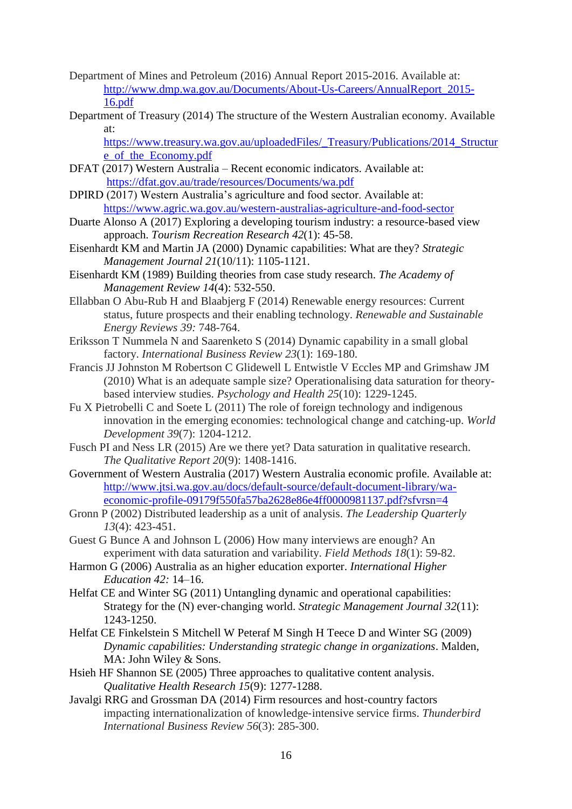- Department of Mines and Petroleum (2016) Annual Report 2015-2016. Available at: [http://www.dmp.wa.gov.au/Documents/About-Us-Careers/AnnualReport\\_2015-](http://www.dmp.wa.gov.au/Documents/About-Us-Careers/AnnualReport_2015-16.pdf) [16.pdf](http://www.dmp.wa.gov.au/Documents/About-Us-Careers/AnnualReport_2015-16.pdf)
- Department of Treasury (2014) The structure of the Western Australian economy. Available at:

[https://www.treasury.wa.gov.au/uploadedFiles/\\_Treasury/Publications/2014\\_Structur](https://www.treasury.wa.gov.au/uploadedFiles/_Treasury/Publications/2014_Structure_of_the_Economy.pdf) [e\\_of\\_the\\_Economy.pdf](https://www.treasury.wa.gov.au/uploadedFiles/_Treasury/Publications/2014_Structure_of_the_Economy.pdf)

- DFAT (2017) Western Australia Recent economic indicators. Available at: <https://dfat.gov.au/trade/resources/Documents/wa.pdf>
- DPIRD (2017) Western Australia's agriculture and food sector. Available at: <https://www.agric.wa.gov.au/western-australias-agriculture-and-food-sector>
- Duarte Alonso A (2017) Exploring a developing tourism industry: a resource-based view approach. *Tourism Recreation Research 42*(1): 45-58.
- Eisenhardt KM and Martin JA (2000) Dynamic capabilities: What are they? *Strategic Management Journal 21*(10/11): 1105-1121.
- Eisenhardt KM (1989) Building theories from case study research. *The Academy of Management Review 14*(4): 532-550.
- Ellabban O Abu-Rub H and Blaabjerg F (2014) Renewable energy resources: Current status, future prospects and their enabling technology. *Renewable and Sustainable Energy Reviews 39:* 748-764.
- Eriksson T Nummela N and Saarenketo S (2014) Dynamic capability in a small global factory. *International Business Review 23*(1): 169-180.
- Francis JJ Johnston M Robertson C Glidewell L Entwistle V Eccles MP and Grimshaw JM (2010) What is an adequate sample size? Operationalising data saturation for theorybased interview studies. *Psychology and Health 25*(10): 1229-1245.
- Fu X Pietrobelli C and Soete L (2011) The role of foreign technology and indigenous innovation in the emerging economies: technological change and catching-up. *World Development 39*(7): 1204-1212.
- Fusch PI and Ness LR (2015) Are we there yet? Data saturation in qualitative research. *The Qualitative Report 20*(9): 1408-1416.
- Government of Western Australia (2017) Western Australia economic profile. Available at: [http://www.jtsi.wa.gov.au/docs/default-source/default-document-library/wa](http://www.jtsi.wa.gov.au/docs/default-source/default-document-library/wa-economic-profile-09179f550fa57ba2628e86e4ff0000981137.pdf?sfvrsn=4)[economic-profile-09179f550fa57ba2628e86e4ff0000981137.pdf?sfvrsn=4](http://www.jtsi.wa.gov.au/docs/default-source/default-document-library/wa-economic-profile-09179f550fa57ba2628e86e4ff0000981137.pdf?sfvrsn=4)
- Gronn P (2002) Distributed leadership as a unit of analysis. *The Leadership Quarterly 13*(4): 423-451.
- Guest G Bunce A and Johnson L (2006) How many interviews are enough? An experiment with data saturation and variability. *Field Methods 18*(1): 59-82.
- Harmon G (2006) Australia as an higher education exporter. *International Higher Education 42:* 14–16.
- Helfat CE and Winter SG (2011) Untangling dynamic and operational capabilities: Strategy for the (N) ever‐changing world. *Strategic Management Journal 32*(11): 1243-1250.
- Helfat CE Finkelstein S Mitchell W Peteraf M Singh H Teece D and Winter SG (2009) *Dynamic capabilities: Understanding strategic change in organizations*. Malden, MA: John Wiley & Sons.
- Hsieh HF Shannon SE (2005) Three approaches to qualitative content analysis. *Qualitative Health Research 15*(9): 1277-1288.
- Javalgi RRG and Grossman DA (2014) Firm resources and host‐country factors impacting internationalization of knowledge‐intensive service firms. *Thunderbird International Business Review 56*(3): 285-300.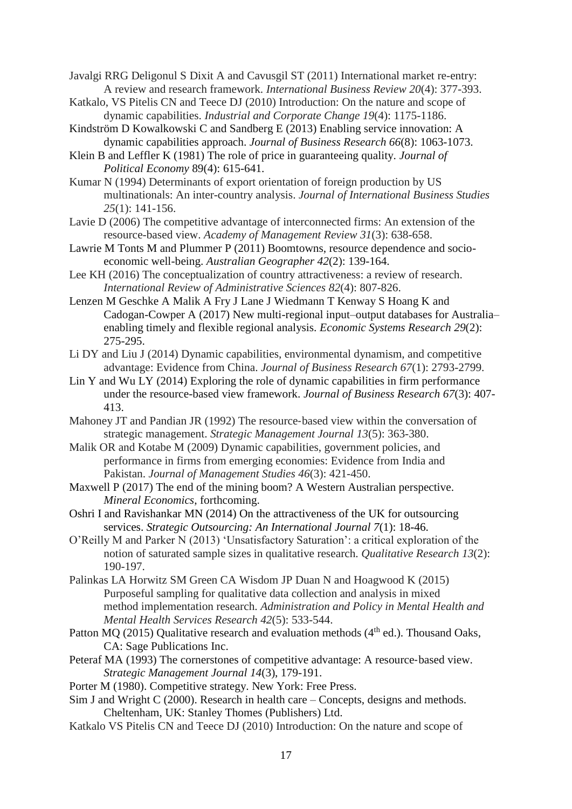Javalgi RRG Deligonul S Dixit A and Cavusgil ST (2011) International market re-entry: A review and research framework. *International Business Review 20*(4): 377-393.

- Katkalo, VS Pitelis CN and Teece DJ (2010) Introduction: On the nature and scope of dynamic capabilities. *Industrial and Corporate Change 19*(4): 1175-1186.
- Kindström D Kowalkowski C and Sandberg E (2013) Enabling service innovation: A dynamic capabilities approach. *Journal of Business Research 66*(8): 1063-1073.
- Klein B and Leffler K (1981) The role of price in guaranteeing quality. *Journal of Political Economy* 89(4): 615-641.
- Kumar N (1994) Determinants of export orientation of foreign production by US multinationals: An inter-country analysis. *Journal of International Business Studies 25*(1): 141-156.
- Lavie D (2006) The competitive advantage of interconnected firms: An extension of the resource-based view. *Academy of Management Review 31*(3): 638-658.
- Lawrie M Tonts M and Plummer P (2011) Boomtowns, resource dependence and socioeconomic well-being. *Australian Geographer 42*(2): 139-164.
- Lee KH (2016) The conceptualization of country attractiveness: a review of research. *International Review of Administrative Sciences 82*(4): 807-826.
- Lenzen M Geschke A Malik A Fry J Lane J Wiedmann T Kenway S Hoang K and Cadogan-Cowper A (2017) New multi-regional input–output databases for Australia– enabling timely and flexible regional analysis. *Economic Systems Research 29*(2): 275-295.
- Li DY and Liu J (2014) Dynamic capabilities, environmental dynamism, and competitive advantage: Evidence from China. *Journal of Business Research 67*(1): 2793-2799.
- Lin Y and Wu LY (2014) Exploring the role of dynamic capabilities in firm performance under the resource-based view framework. *Journal of Business Research 67*(3): 407- 413.
- Mahoney JT and Pandian JR (1992) The resource-based view within the conversation of strategic management. *Strategic Management Journal 13*(5): 363-380.
- Malik OR and Kotabe M (2009) Dynamic capabilities, government policies, and performance in firms from emerging economies: Evidence from India and Pakistan. *Journal of Management Studies 46*(3): 421-450.
- Maxwell P (2017) The end of the mining boom? A Western Australian perspective. *Mineral Economics*, forthcoming.
- Oshri I and Ravishankar MN (2014) On the attractiveness of the UK for outsourcing services. *Strategic Outsourcing: An International Journal 7*(1): 18-46.
- O'Reilly M and Parker N (2013) 'Unsatisfactory Saturation': a critical exploration of the notion of saturated sample sizes in qualitative research. *Qualitative Research 13*(2): 190-197.
- Palinkas LA Horwitz SM Green CA Wisdom JP Duan N and Hoagwood K (2015) Purposeful sampling for qualitative data collection and analysis in mixed method implementation research. *Administration and Policy in Mental Health and Mental Health Services Research 42*(5): 533-544.
- Patton MQ (2015) Qualitative research and evaluation methods ( $4<sup>th</sup>$  ed.). Thousand Oaks, CA: Sage Publications Inc.
- Peteraf MA (1993) The cornerstones of competitive advantage: A resource-based view. *Strategic Management Journal 14*(3), 179-191.
- Porter M (1980). Competitive strategy. New York: Free Press.
- Sim J and Wright C (2000). Research in health care Concepts, designs and methods. Cheltenham, UK: Stanley Thomes (Publishers) Ltd.
- Katkalo VS Pitelis CN and Teece DJ (2010) Introduction: On the nature and scope of